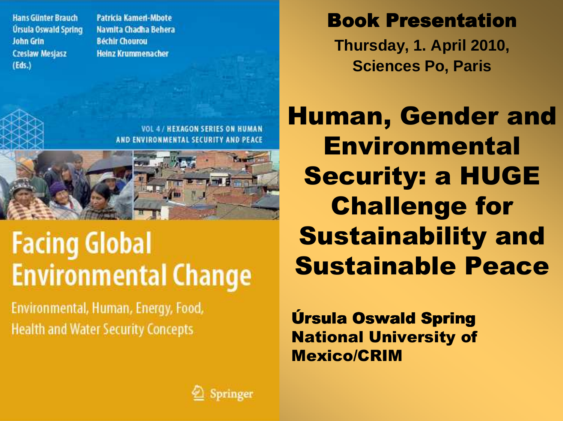**Hans Günter Brauch** Úrsula Oswald Spring **John Grin Czesław Mesjasz**  $(Eds.)$ 

**Patricia Kameri-Mbote** Navnita Chadha Behera **Béchir Chourou Heinz Krummenacher** 

**Book Presentation Thursday, 1. April 2010,** 

**Sciences Po, Paris**

Human, Gender and Environmental Security: a HUGE Challenge for Sustainability and Sustainable Peace

Úrsula Oswald Spring Úrsula Oswald National University of Mexico/CRIM

**VOL 4 / HEXAGON SERIES ON HUMAN** AND ENVIRONMENTAL SECURITY AND PEACE

#### **Facing Global Environmental Change**

Environmental, Human, Energy, Food, **Health and Water Security Concepts** 

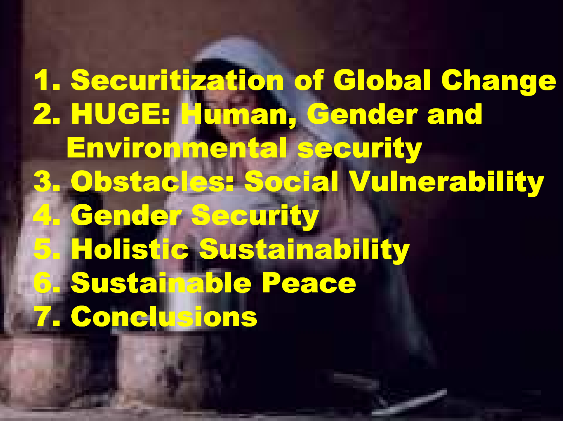1. Securitization of Global Change<br>2. Burget of Global Change 2. HUGE: Human, Gender and Environmental security 3. Obstacles: Social Vulnerability4. Gender Security 5. Holistic Sustainability6. Sustainable Peace7. Conclusions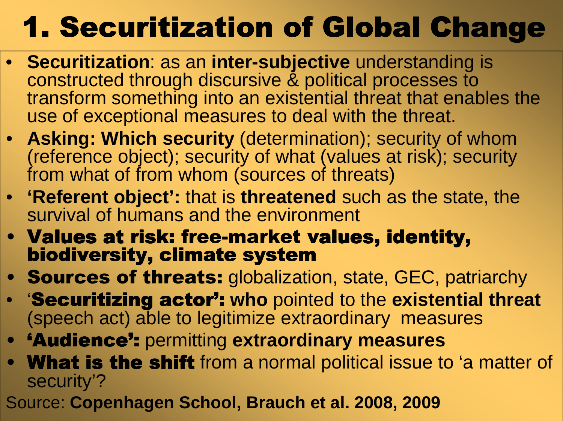## 1. Securitization of Global Change

- **Securitization**: as an **inter-subjective** understanding is constructed through discursive & political processes to transform something into an existential threat that enables the use of exceptional measures to deal with the threat.
- **Asking: Which security** (determination); security of whom (reference object); security of what (values at risk); security from what of from whom (sources of threats)
- **'Referent object':** that is **threatened** such as the state, the survival of humans and the environment
- Values at risk: free-market values, identity,<br>• biodiversity, climate system biodiversity, climate system
- **Sources of threats:** globalization, state, GEC, patriarchy<br> **Constitution actual who pointed to the ovictorial three**
- **'Securitizing actor':** who pointed to the existential threat (speech act) able to legitimize extraordinary measures
- **'Audience':** permitting extraordinary measures
- **What is the shift** from a normal political issue to 'a matter of sequrity'? security'?
- Source: **Copenhagen School, Brauch et al. 2008, 2009**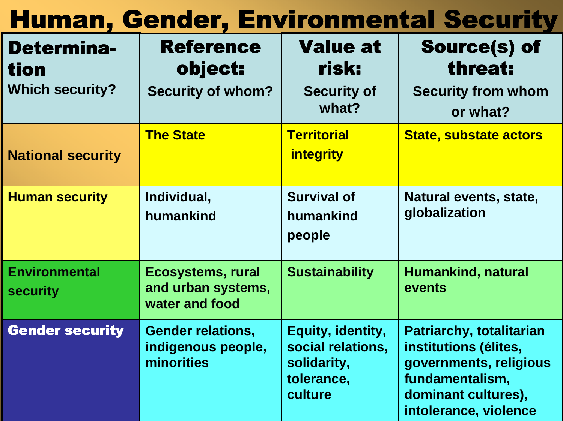#### Human, Gender, Environmental Security

| <b>Determina-</b><br>tion               | <b>Reference</b><br>object:                                      | <b>Value at</b><br>risk:                                                       | <b>Source(s) of</b><br>threat:                                                                                                                        |
|-----------------------------------------|------------------------------------------------------------------|--------------------------------------------------------------------------------|-------------------------------------------------------------------------------------------------------------------------------------------------------|
| <b>Which security?</b>                  | <b>Security of whom?</b>                                         | <b>Security of</b><br>what?                                                    | <b>Security from whom</b><br>or what?                                                                                                                 |
| <b>National security</b>                | <b>The State</b>                                                 | <b>Territorial</b><br><i>integrity</i>                                         | <b>State, substate actors</b>                                                                                                                         |
| <b>Human security</b>                   | Individual,<br>humankind                                         | <b>Survival of</b><br>humankind<br>people                                      | Natural events, state,<br>globalization                                                                                                               |
| <b>Environmental</b><br><b>security</b> | <b>Ecosystems, rural</b><br>and urban systems,<br>water and food | <b>Sustainability</b>                                                          | Humankind, natural<br>events                                                                                                                          |
| <b>Gender security</b>                  | <b>Gender relations,</b><br>indigenous people,<br>minorities     | Equity, identity,<br>social relations,<br>solidarity,<br>tolerance,<br>culture | <b>Patriarchy, totalitarian</b><br>institutions (élites,<br>governments, religious<br>fundamentalism,<br>dominant cultures),<br>intolerance, violence |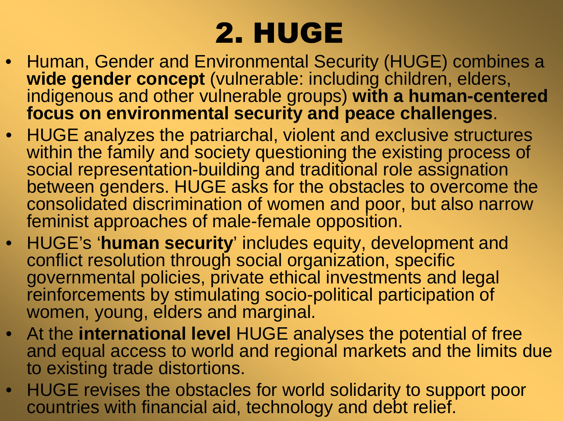#### 2. HUGE

- Human, Gender and Environmental Security (HUGE) combines a **wide gender concept** (vulnerable: including children, elders, indigenous and other vulnerable groups) **with a human-centeredfocus on environmental security and peace challenges**.
- HUGE analyzes the patriarchal, violent and exclusive structures within the family and society questioning the existing process of social representation-building and traditional role assignation between genders. HUGE asks for the obstacles to overcome the consolidated discrimination of women and poor, but also narrow feminist approaches of male-female opposition.
- • HUGE's '**human security**' includes equity, development and conflict resolution through social organization, specific governmental policies, private ethical investments and legal reinforcements by stimulating socio-political participation of women, young, elders and marginal.
- At the **international level** HUGE analyses the potential of free and equal access to world and regional markets and the limits due to existing trade distortions.
- • HUGE revises the obstacles for world solidarity to support poor countries with financial aid, technology and debt relief.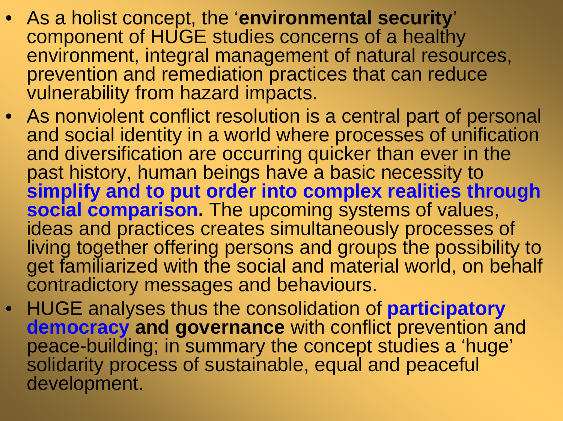- As a holist concept, the '**environmental security**' component of HUGE studies concerns of a healthy environment, integral management of natural resources,prevention and remediation practices that can reduce vulnerability from hazard impacts.
- As nonviolent conflict resolution is a central part of personal and social identity in a world where processes of unification and diversification are occurring quicker than ever in thepast history, human beings have a basic necessity to **simplify and to put order into complex realities through social comparison.** The upcoming systems of values, ideas and practices creates simultaneously processes of living together offering persons and groups the possibility to get familiarized with the social and material world, on behalf contradictory messages and behaviours.
- $\bullet$  HUGE analyses thus the consolidation of **participatory democracy and governance** with conflict prevention and peace-building; in summary the concept studies a 'huge'solidarity process of sustainable, equal and peaceful development.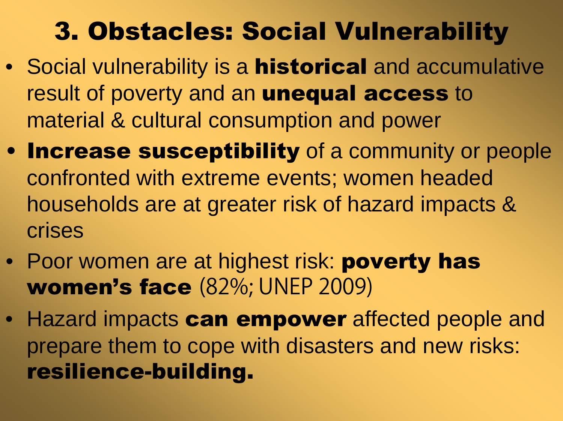#### 3. Obstacles: Social Vulnerability

- Social vulnerability is a **historical** and accumulative result of poverty and an **unequal access** to material & cultural consumption and power
- Increase susceptibility of a community or people confronted with extreme events; women headed households are at greater risk of hazard impacts & crises
- Poor women are at highest risk: **poverty has** women's face (82%; UNEP 2009)
- Hazard impacts **can empower** affected people and prepare them to cope with disasters and new risks: resilience-building.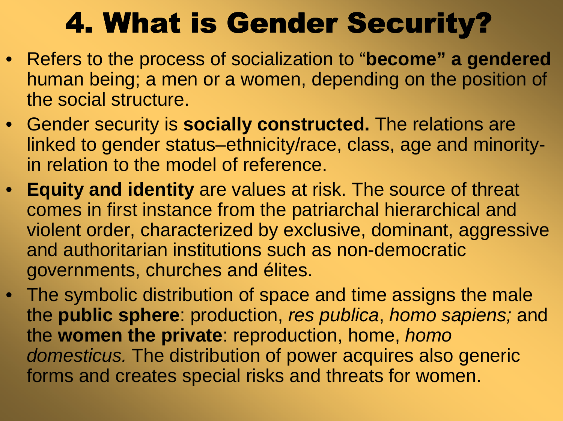#### 4. What is Gender Security?

- Refers to the process of socialization to "**become" a gendered** human being; a men or a women, depending on the position of the social structure.
- Gender security is **socially constructed.** The relations are linked to gender status–ethnicity/race, class, age and minorityin relation to the model of reference.
- **Equity and identity** are values at risk. The source of threat comes in first instance from the patriarchal hierarchical and violent order, characterized by exclusive, dominant, aggressive and authoritarian institutions such as non-democratic governments, churches and élites.
- The symbolic distribution of space and time assigns the male the **public sphere**: production, res publica, homo sapiens; and the **women the private**: reproduction, home, homo domesticus. The distribution of power acquires also generic forms and creates special risks and threats for women.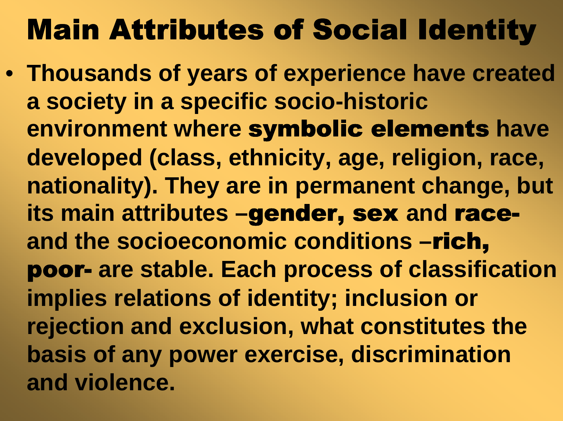#### Main Attributes of Social Identity

• **Thousands of years of experience have created a society in a specific socio-historic environment where** symbolic elements **have developed (class, ethnicity, age, religion, race, nationality). They are in permanent change, but its main attributes –**gender, sex **and** race**and the socioeconomic conditions –**rich, poor- **are stable. Each process of classification implies relations of identity; inclusion or rejection and exclusion, what constitutes the basis of any power exercise, discrimination and violence.**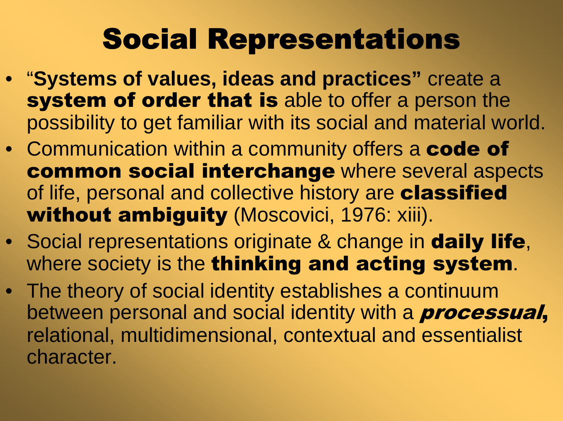### Social Representations

- "**Systems of values, ideas and practices"** create a **system of order that is** able to offer a person the possibility to get familiar with its social and material world.
- Communication within a community offers a **code of** common social interchange where several aspects of life, personal and collective history are classified without ambiguity (Moscovici, 1976: xiii).
- Social representations originate & change in **daily life**, where society is the thinking and acting system.
- The theory of social identity establishes a continuum between personal and social identity with a **processual**, relational, multidimensional, contextual and essentialist character.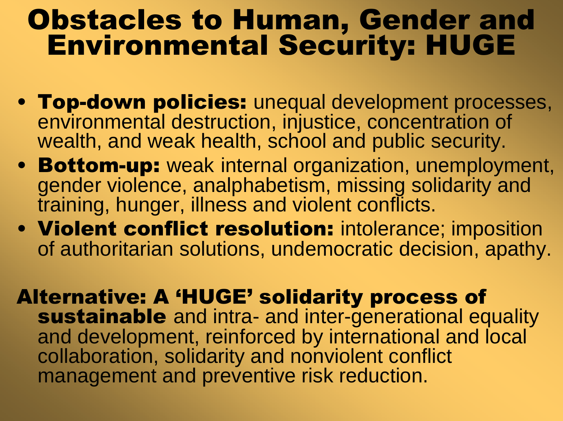# Obstacles to Human, Gender and Environmental Security: HUGE

- **Top-down policies:** unequal development processes,<br>environmental destruction, injustice, concentration of environmental destruction, injustice, concentration of wealth, and weak health, school and public security.
- Bottom-up: weak internal organization, unemployment,<br>cender violence, analphabetism, missing solidarity and gender violence, analphabetism, missing solidarity and training, hunger, illness and violent conflicts.
- Violent conflict resolution: intolerance; imposition<br>of authoritarian solutions, undemocratic decision, anathy of authoritarian solutions, undemocratic decision, apathy.

Alternative: A 'HUGE' solidarity process of sustainable and intra- and inter-generational equality and development, reinforced by international and local collaboration, solidarity and nonviolent conflict management and preventive risk reduction.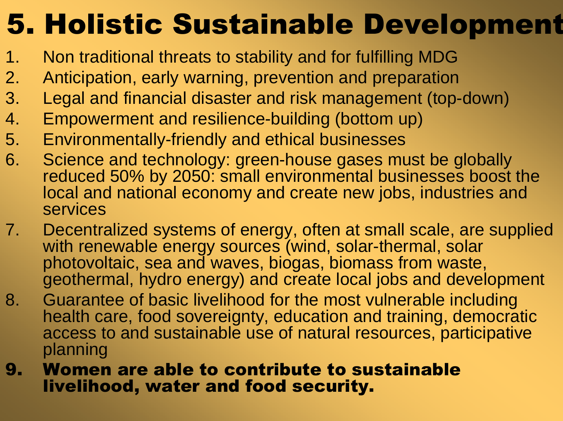#### 5. Holistic Sustainable Development

- 1. Non traditional threats to stability and for fulfilling MDG
- 2. Anticipation, early warning, prevention and preparation
- 3. Legal and financial disaster and risk management (top-down)
- 4. Empowerment and resilience-building (bottom up)
- 5. Environmentally-friendly and ethical businesses
- 6. Science and technology: green-house gases must be globally reduced 50% by 2050: small environmental businesses boost the local and national economy and create new jobs, industries and services
- 7. Decentralized systems of energy, often at small scale, are supplied with renewable energy sources (wind, solar-thermal, solar photovoltaic, sea and waves, biogas, biomass from waste, geothermal, hydro energy) and create local jobs and development
- 8. Guarantee of basic livelihood for the most vulnerable including health care, food sovereignty, education and training, democratic access to and sustainable use of natural resources, participative planning
- **9. Women are able to contribute to sustainable<br>Invelibedd water and food security** livelihood, water and food security.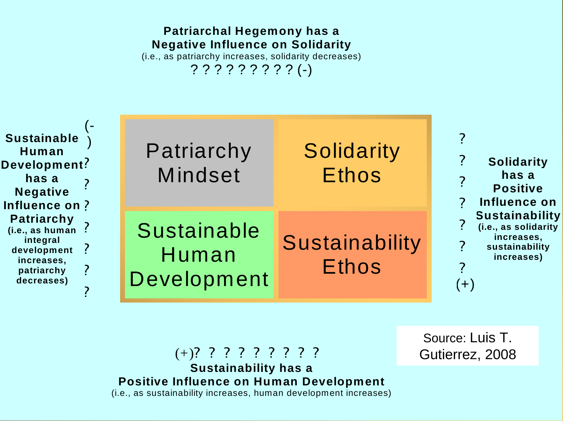#### **Patriarchal Hegemony has a Negative Influence on Solidarity**(i.e., as patriarchy increases, solidarity decreases)

? ? ? ? ? ? ? ? ? (-)

| <b>Sustainable</b><br>Human<br>Development?<br>has a<br><b>Negative</b><br>Influence on?<br><b>Patriarchy</b><br>(i.e., as human<br>integral<br>development<br>increases,<br>patriarchy<br>decreases) | Patriarchy<br><b>Mindset</b>               | <b>Solidarity</b><br><b>Ethos</b> | <b>Solidarity</b><br>has a<br><b>Positive</b><br>Influence on                                        |
|-------------------------------------------------------------------------------------------------------------------------------------------------------------------------------------------------------|--------------------------------------------|-----------------------------------|------------------------------------------------------------------------------------------------------|
|                                                                                                                                                                                                       | <b>Sustainable</b><br>Human<br>Development | Sustainability<br><b>Ethos</b>    | <b>Sustainability</b><br>(i.e., as solidarity<br>increases,<br>sustainability<br>increases)<br>$(+)$ |

(+)? ? ? ? ? ? ? ? ? **Sustainability has a Positive Influence on Human Development**(i.e., as sustainability increases, human development increases)

Source: Luis T. Gutierrez, 2008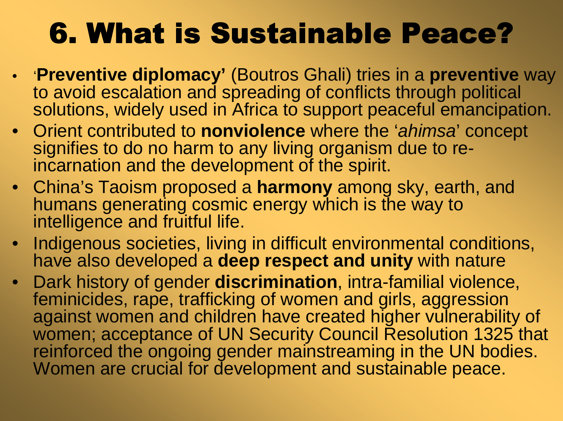#### 6. What is Sustainable Peace?

- '**Preventive diplomacy'** (Boutros Ghali) tries in a **preventive** way to avoid escalation and spreading of conflicts through politicalsolutions, widely used in Africa to support peaceful emancipation.
- Orient contributed to **nonviolence** where the 'ahimsa' concept signifies to do no harm to any living organism due to reincarnation and the development of the spirit.
- China's Taoism proposed a **harmony** among sky, earth, and humans generating cosmic energy which is the way to intelligence and fruitful life.
- • Indigenous societies, living in difficult environmental conditions, have also developed a **deep respect and unity** with nature
- Dark history of gender **discrimination**, intra-familial violence, feminicides, rape, trafficking of women and girls, aggression against women and children have created higher vulnerability of women; acceptance of UN Security Council Resolution 1325 that reinforced the ongoing gender mainstreaming in the UN bodies. Women are crucial for development and sustainable peace.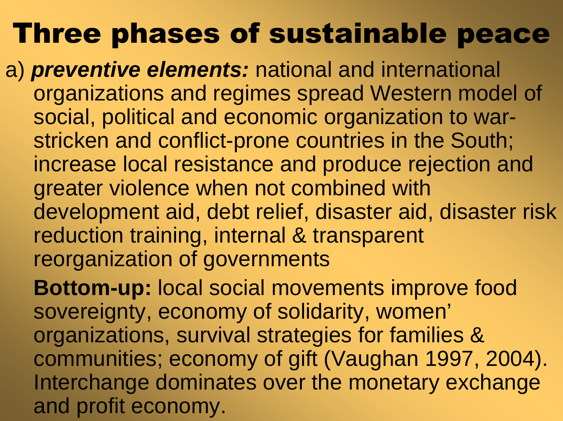#### Three phases of sustainable peace

- a) **preventive elements:** national and international organizations and regimes spread Western model of social, political and economic organization to warstricken and conflict-prone countries in the South; increase local resistance and produce rejection andgreater violence when not combined with development aid, debt relief, disaster aid, disaster risk reduction training, internal & transparent reorganization of governments
	- **Bottom-up:** local social movements improve food sovereignty, economy of solidarity, women'organizations, survival strategies for families & communities; economy of gift (Vaughan 1997, 2004). Interchange dominates over the monetary exchange and profit economy.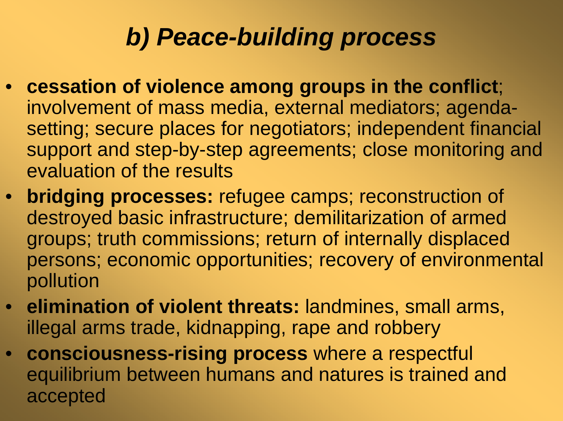#### **b) Peace-building process**

- **cessation of violence among groups in the conflict**; involvement of mass media, external mediators; agendasetting; secure places for negotiators; independent financial support and step-by-step agreements; close monitoring andevaluation of the results
- **bridging processes:** refugee camps; reconstruction of destroyed basic infrastructure; demilitarization of armed groups; truth commissions; return of internally displaced persons; economic opportunities; recovery of environmental pollution
- **elimination of violent threats:** landmines, small arms, illegal arms trade, kidnapping, rape and robbery
- **consciousness-rising process** where a respectful equilibrium between humans and natures is trained and accepted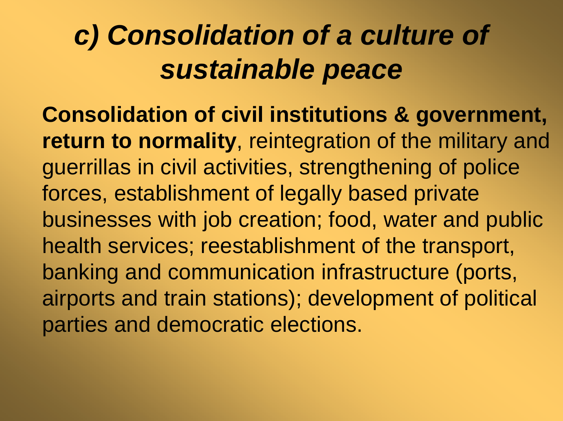#### **c) Consolidation of a culture of sustainable peace**

**Consolidation of civil institutions & government,return to normality**, reintegration of the military and guerrillas in civil activities, strengthening of police forces, establishment of legally based private businesses with job creation; food, water and public health services; reestablishment of the transport, banking and communication infrastructure (ports, airports and train stations); development of political parties and democratic elections.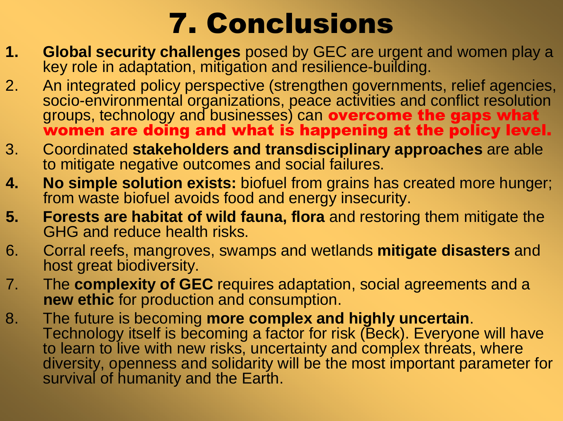#### 7. Conclusions

- **1. Global security challenges** posed by GEC are urgent and women play a key relative and regular and vector and regular and vector and regular and vector and regular and vector and regular and vector and regular and vec key role in adaptation, mitigation and resilience-building.
- 2. An integrated policy perspective (strengthen governments, relief agencies,<br>socio-environmental organizations, peace activities and conflict resolution socio-environmental organizations, peace activities and conflict resolution<br>groups, technology and businesses) can **overcome the gaps what**<br>we may alsing and what is happening at the poliou level. women are doing and what is happening at the policy level.
- 3. Coordinated **stakeholders and transdisciplinary approaches** are able to mitigate negative outcomes and social failures.
- **4. No simple solution exists:** biofuel from grains has created more hunger; from waste biofuel avoids food and energy insecurity.
- **5. Forests are habitat of wild fauna, flora** and restoring them mitigate the GHG and reduce health risks.
- 6. Corral reefs, mangroves, swamps and wetlands **mitigate disasters** and host great biodiversity.
- 7. The **complexity of GEC** requires adaptation, social agreements and a **new ethic** for production and consumption.
- 8. The future is becoming **more complex and highly uncertain**. Technology itself is becoming a factor for risk (Beck). Everyone will have to learn to live with new risks, uncertainty and complex threats, where diversity, openness and solidarity will be the most important parameter for survival of humanity and the Earth.